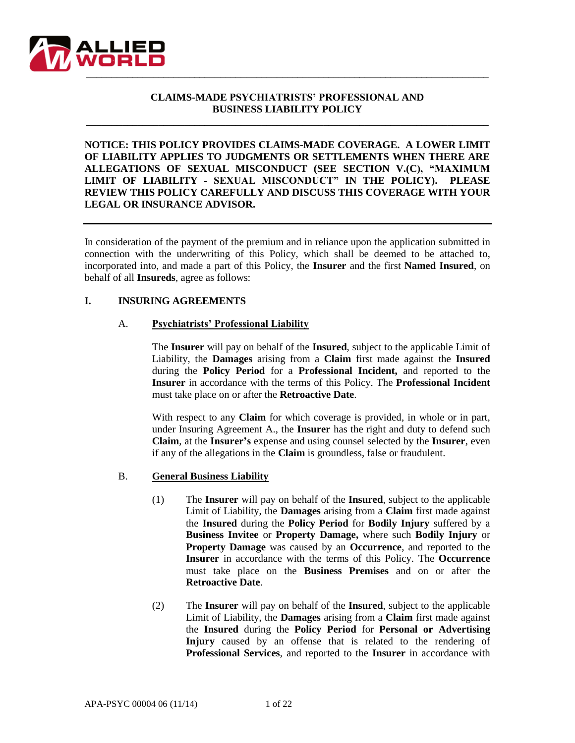

## **CLAIMS-MADE PSYCHIATRISTS' PROFESSIONAL AND BUSINESS LIABILITY POLICY**

**\_\_\_\_\_\_\_\_\_\_\_\_\_\_\_\_\_\_\_\_\_\_\_\_\_\_\_\_\_\_\_\_\_\_\_\_\_\_\_\_\_\_\_\_\_\_\_\_\_\_\_\_\_\_\_\_\_\_\_\_\_\_\_\_\_\_\_\_\_\_\_\_\_\_\_\_\_\_**

**NOTICE: THIS POLICY PROVIDES CLAIMS-MADE COVERAGE. A LOWER LIMIT OF LIABILITY APPLIES TO JUDGMENTS OR SETTLEMENTS WHEN THERE ARE ALLEGATIONS OF SEXUAL MISCONDUCT (SEE SECTION V.(C), "MAXIMUM LIMIT OF LIABILITY - SEXUAL MISCONDUCT" IN THE POLICY). PLEASE REVIEW THIS POLICY CAREFULLY AND DISCUSS THIS COVERAGE WITH YOUR LEGAL OR INSURANCE ADVISOR.**

In consideration of the payment of the premium and in reliance upon the application submitted in connection with the underwriting of this Policy, which shall be deemed to be attached to, incorporated into, and made a part of this Policy, the **Insurer** and the first **Named Insured**, on behalf of all **Insureds**, agree as follows:

#### **I. INSURING AGREEMENTS**

#### A. **Psychiatrists' Professional Liability**

The **Insurer** will pay on behalf of the **Insured**, subject to the applicable Limit of Liability, the **Damages** arising from a **Claim** first made against the **Insured** during the **Policy Period** for a **Professional Incident,** and reported to the **Insurer** in accordance with the terms of this Policy. The **Professional Incident** must take place on or after the **Retroactive Date**.

With respect to any **Claim** for which coverage is provided, in whole or in part, under Insuring Agreement A., the **Insurer** has the right and duty to defend such **Claim**, at the **Insurer's** expense and using counsel selected by the **Insurer**, even if any of the allegations in the **Claim** is groundless, false or fraudulent.

#### B. **General Business Liability**

- (1) The **Insurer** will pay on behalf of the **Insured**, subject to the applicable Limit of Liability, the **Damages** arising from a **Claim** first made against the **Insured** during the **Policy Period** for **Bodily Injury** suffered by a **Business Invitee** or **Property Damage,** where such **Bodily Injury** or **Property Damage** was caused by an **Occurrence**, and reported to the **Insurer** in accordance with the terms of this Policy. The **Occurrence** must take place on the **Business Premises** and on or after the **Retroactive Date**.
- (2) The **Insurer** will pay on behalf of the **Insured**, subject to the applicable Limit of Liability, the **Damages** arising from a **Claim** first made against the **Insured** during the **Policy Period** for **Personal or Advertising Injury** caused by an offense that is related to the rendering of **Professional Services**, and reported to the **Insurer** in accordance with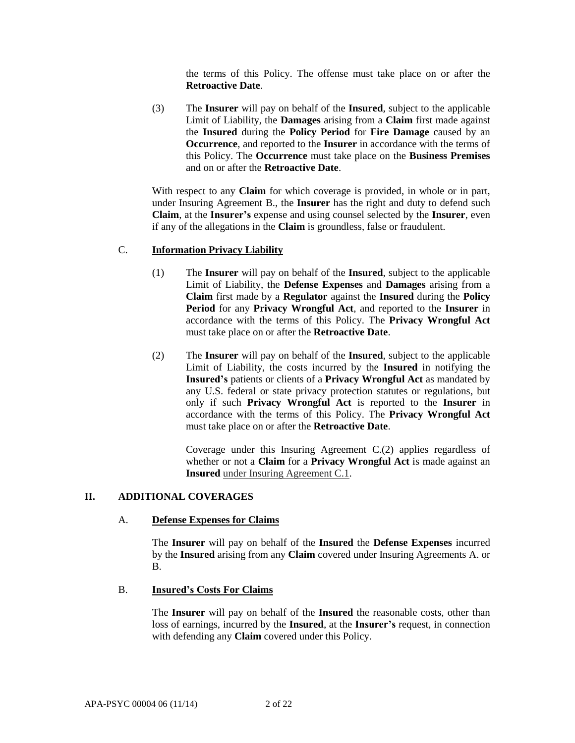the terms of this Policy. The offense must take place on or after the **Retroactive Date**.

(3) The **Insurer** will pay on behalf of the **Insured**, subject to the applicable Limit of Liability, the **Damages** arising from a **Claim** first made against the **Insured** during the **Policy Period** for **Fire Damage** caused by an **Occurrence**, and reported to the **Insurer** in accordance with the terms of this Policy. The **Occurrence** must take place on the **Business Premises** and on or after the **Retroactive Date**.

With respect to any **Claim** for which coverage is provided, in whole or in part, under Insuring Agreement B., the **Insurer** has the right and duty to defend such **Claim**, at the **Insurer's** expense and using counsel selected by the **Insurer**, even if any of the allegations in the **Claim** is groundless, false or fraudulent.

## C. **Information Privacy Liability**

- (1) The **Insurer** will pay on behalf of the **Insured**, subject to the applicable Limit of Liability, the **Defense Expenses** and **Damages** arising from a **Claim** first made by a **Regulator** against the **Insured** during the **Policy Period** for any **Privacy Wrongful Act**, and reported to the **Insurer** in accordance with the terms of this Policy. The **Privacy Wrongful Act**  must take place on or after the **Retroactive Date**.
- (2) The **Insurer** will pay on behalf of the **Insured**, subject to the applicable Limit of Liability, the costs incurred by the **Insured** in notifying the **Insured's** patients or clients of a **Privacy Wrongful Act** as mandated by any U.S. federal or state privacy protection statutes or regulations, but only if such **Privacy Wrongful Act** is reported to the **Insurer** in accordance with the terms of this Policy. The **Privacy Wrongful Act**  must take place on or after the **Retroactive Date**.

Coverage under this Insuring Agreement C.(2) applies regardless of whether or not a **Claim** for a **Privacy Wrongful Act** is made against an **Insured** under Insuring Agreement C.1.

## **II. ADDITIONAL COVERAGES**

## A. **Defense Expenses for Claims**

The **Insurer** will pay on behalf of the **Insured** the **Defense Expenses** incurred by the **Insured** arising from any **Claim** covered under Insuring Agreements A. or B.

## B. **Insured's Costs For Claims**

The **Insurer** will pay on behalf of the **Insured** the reasonable costs, other than loss of earnings, incurred by the **Insured**, at the **Insurer's** request, in connection with defending any **Claim** covered under this Policy.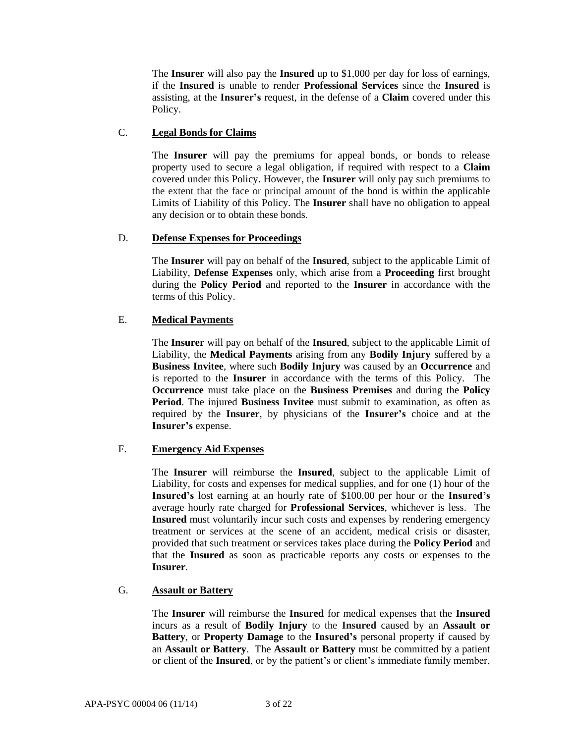The **Insurer** will also pay the **Insured** up to \$1,000 per day for loss of earnings, if the **Insured** is unable to render **Professional Services** since the **Insured** is assisting, at the **Insurer's** request, in the defense of a **Claim** covered under this Policy.

## C. **Legal Bonds for Claims**

The **Insurer** will pay the premiums for appeal bonds, or bonds to release property used to secure a legal obligation, if required with respect to a **Claim** covered under this Policy. However, the **Insurer** will only pay such premiums to the extent that the face or principal amount of the bond is within the applicable Limits of Liability of this Policy. The **Insurer** shall have no obligation to appeal any decision or to obtain these bonds.

## D. **Defense Expenses for Proceedings**

The **Insurer** will pay on behalf of the **Insured**, subject to the applicable Limit of Liability, **Defense Expenses** only, which arise from a **Proceeding** first brought during the **Policy Period** and reported to the **Insurer** in accordance with the terms of this Policy.

## E. **Medical Payments**

The **Insurer** will pay on behalf of the **Insured**, subject to the applicable Limit of Liability, the **Medical Payments** arising from any **Bodily Injury** suffered by a **Business Invitee**, where such **Bodily Injury** was caused by an **Occurrence** and is reported to the **Insurer** in accordance with the terms of this Policy. The **Occurrence** must take place on the **Business Premises** and during the **Policy Period**. The injured **Business Invitee** must submit to examination, as often as required by the **Insurer**, by physicians of the **Insurer's** choice and at the **Insurer's** expense.

## F. **Emergency Aid Expenses**

The **Insurer** will reimburse the **Insured**, subject to the applicable Limit of Liability, for costs and expenses for medical supplies, and for one (1) hour of the **Insured's** lost earning at an hourly rate of \$100.00 per hour or the **Insured's**  average hourly rate charged for **Professional Services**, whichever is less. The **Insured** must voluntarily incur such costs and expenses by rendering emergency treatment or services at the scene of an accident, medical crisis or disaster, provided that such treatment or services takes place during the **Policy Period** and that the **Insured** as soon as practicable reports any costs or expenses to the **Insurer**.

## G. **Assault or Battery**

The **Insurer** will reimburse the **Insured** for medical expenses that the **Insured** incurs as a result of **Bodily Injury** to the **Insured** caused by an **Assault or Battery**, or **Property Damage** to the **Insured's** personal property if caused by an **Assault or Battery**. The **Assault or Battery** must be committed by a patient or client of the **Insured**, or by the patient's or client's immediate family member,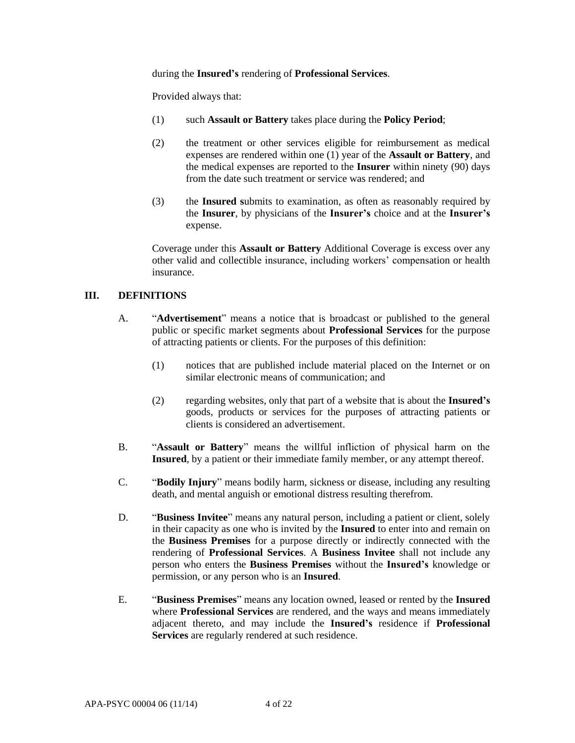#### during the **Insured's** rendering of **Professional Services**.

Provided always that:

- (1) such **Assault or Battery** takes place during the **Policy Period**;
- (2) the treatment or other services eligible for reimbursement as medical expenses are rendered within one (1) year of the **Assault or Battery**, and the medical expenses are reported to the **Insurer** within ninety (90) days from the date such treatment or service was rendered; and
- (3) the **Insured s**ubmits to examination, as often as reasonably required by the **Insurer**, by physicians of the **Insurer's** choice and at the **Insurer's** expense.

Coverage under this **Assault or Battery** Additional Coverage is excess over any other valid and collectible insurance, including workers' compensation or health insurance.

## **III. DEFINITIONS**

- A. "**Advertisement**" means a notice that is broadcast or published to the general public or specific market segments about **Professional Services** for the purpose of attracting patients or clients. For the purposes of this definition:
	- (1) notices that are published include material placed on the Internet or on similar electronic means of communication; and
	- (2) regarding websites, only that part of a website that is about the **Insured's** goods, products or services for the purposes of attracting patients or clients is considered an advertisement.
- B. "**Assault or Battery**" means the willful infliction of physical harm on the **Insured**, by a patient or their immediate family member, or any attempt thereof.
- C. "**Bodily Injury**" means bodily harm, sickness or disease, including any resulting death, and mental anguish or emotional distress resulting therefrom.
- D. "**Business Invitee**" means any natural person, including a patient or client, solely in their capacity as one who is invited by the **Insured** to enter into and remain on the **Business Premises** for a purpose directly or indirectly connected with the rendering of **Professional Services**. A **Business Invitee** shall not include any person who enters the **Business Premises** without the **Insured's** knowledge or permission, or any person who is an **Insured**.
- E. "**Business Premises**" means any location owned, leased or rented by the **Insured**  where **Professional Services** are rendered, and the ways and means immediately adjacent thereto, and may include the **Insured's** residence if **Professional Services** are regularly rendered at such residence.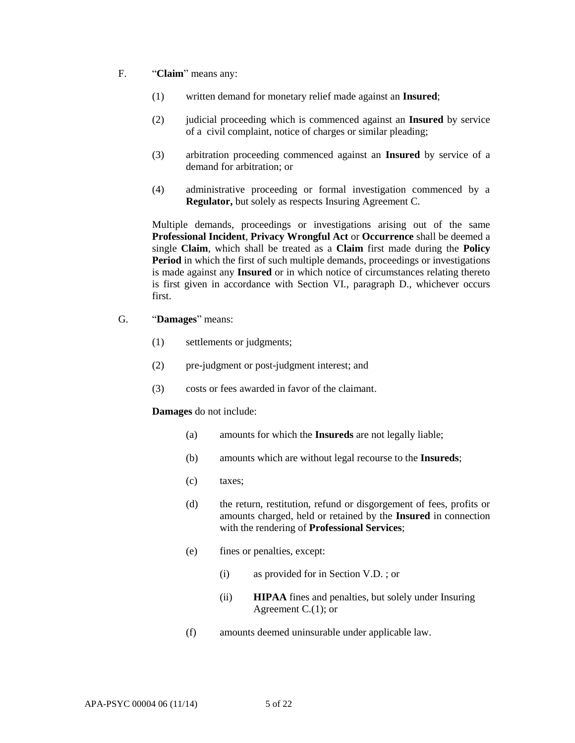- F. "**Claim**" means any:
	- (1) written demand for monetary relief made against an **Insured**;
	- (2) judicial proceeding which is commenced against an **Insured** by service of a civil complaint, notice of charges or similar pleading;
	- (3) arbitration proceeding commenced against an **Insured** by service of a demand for arbitration; or
	- (4) administrative proceeding or formal investigation commenced by a **Regulator,** but solely as respects Insuring Agreement C.

Multiple demands, proceedings or investigations arising out of the same **Professional Incident**, **Privacy Wrongful Act** or **Occurrence** shall be deemed a single **Claim**, which shall be treated as a **Claim** first made during the **Policy Period** in which the first of such multiple demands, proceedings or investigations is made against any **Insured** or in which notice of circumstances relating thereto is first given in accordance with Section VI., paragraph D., whichever occurs first.

- G. "**Damages**" means:
	- (1) settlements or judgments;
	- (2) pre-judgment or post-judgment interest; and
	- (3) costs or fees awarded in favor of the claimant.

#### **Damages** do not include:

- (a) amounts for which the **Insureds** are not legally liable;
- (b) amounts which are without legal recourse to the **Insureds**;
- (c) taxes;
- (d) the return, restitution, refund or disgorgement of fees, profits or amounts charged, held or retained by the **Insured** in connection with the rendering of **Professional Services**;
- (e) fines or penalties, except:
	- (i) as provided for in Section V.D. ; or
	- (ii) **HIPAA** fines and penalties, but solely under Insuring Agreement C.(1); or
- (f) amounts deemed uninsurable under applicable law.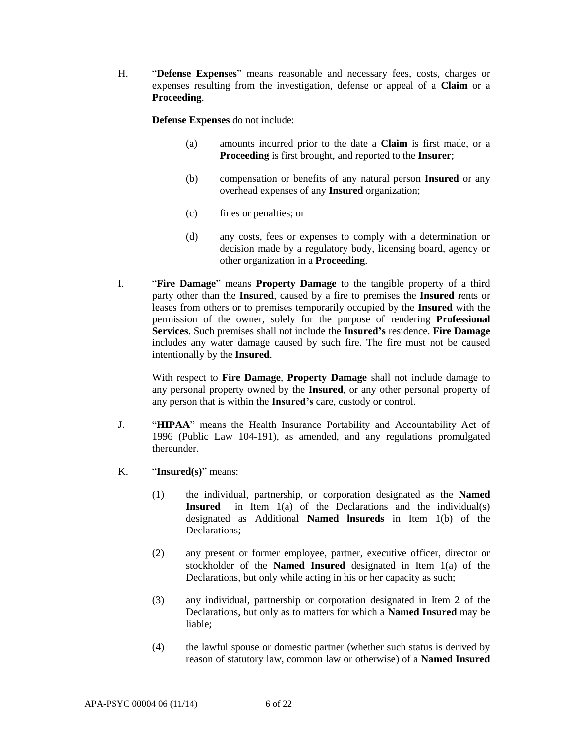H. "**Defense Expenses**" means reasonable and necessary fees, costs, charges or expenses resulting from the investigation, defense or appeal of a **Claim** or a **Proceeding**.

**Defense Expenses** do not include:

- (a) amounts incurred prior to the date a **Claim** is first made, or a **Proceeding** is first brought, and reported to the **Insurer**;
- (b) compensation or benefits of any natural person **Insured** or any overhead expenses of any **Insured** organization;
- (c) fines or penalties; or
- (d) any costs, fees or expenses to comply with a determination or decision made by a regulatory body, licensing board, agency or other organization in a **Proceeding**.
- I. "**Fire Damage**" means **Property Damage** to the tangible property of a third party other than the **Insured**, caused by a fire to premises the **Insured** rents or leases from others or to premises temporarily occupied by the **Insured** with the permission of the owner, solely for the purpose of rendering **Professional Services**. Such premises shall not include the **Insured's** residence. **Fire Damage** includes any water damage caused by such fire. The fire must not be caused intentionally by the **Insured**.

With respect to **Fire Damage**, **Property Damage** shall not include damage to any personal property owned by the **Insured**, or any other personal property of any person that is within the **Insured's** care, custody or control.

- J. "**HIPAA**" means the Health Insurance Portability and Accountability Act of 1996 (Public Law 104-191), as amended, and any regulations promulgated thereunder.
- K. "**Insured(s)**" means:
	- (1) the individual, partnership, or corporation designated as the **Named Insured** in Item 1(a) of the Declarations and the individual(s) designated as Additional **Named lnsureds** in Item 1(b) of the Declarations;
	- (2) any present or former employee, partner, executive officer, director or stockholder of the **Named Insured** designated in Item 1(a) of the Declarations, but only while acting in his or her capacity as such;
	- (3) any individual, partnership or corporation designated in Item 2 of the Declarations, but only as to matters for which a **Named Insured** may be liable;
	- (4) the lawful spouse or domestic partner (whether such status is derived by reason of statutory law, common law or otherwise) of a **Named Insured**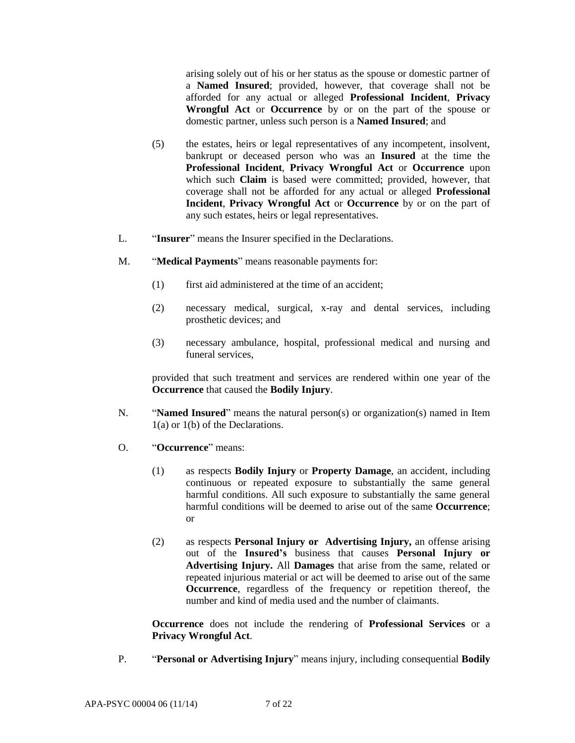arising solely out of his or her status as the spouse or domestic partner of a **Named Insured**; provided, however, that coverage shall not be afforded for any actual or alleged **Professional Incident**, **Privacy Wrongful Act** or **Occurrence** by or on the part of the spouse or domestic partner, unless such person is a **Named Insured**; and

- (5) the estates, heirs or legal representatives of any incompetent, insolvent, bankrupt or deceased person who was an **Insured** at the time the **Professional Incident**, **Privacy Wrongful Act** or **Occurrence** upon which such **Claim** is based were committed; provided, however, that coverage shall not be afforded for any actual or alleged **Professional Incident**, **Privacy Wrongful Act** or **Occurrence** by or on the part of any such estates, heirs or legal representatives.
- L. "**Insurer**" means the Insurer specified in the Declarations.
- M. "**Medical Payments**" means reasonable payments for:
	- (1) first aid administered at the time of an accident;
	- (2) necessary medical, surgical, x-ray and dental services, including prosthetic devices; and
	- (3) necessary ambulance, hospital, professional medical and nursing and funeral services,

provided that such treatment and services are rendered within one year of the **Occurrence** that caused the **Bodily Injury**.

- N. "**Named Insured**" means the natural person(s) or organization(s) named in Item 1(a) or 1(b) of the Declarations.
- O. "**Occurrence**" means:
	- (1) as respects **Bodily Injury** or **Property Damage**, an accident, including continuous or repeated exposure to substantially the same general harmful conditions. All such exposure to substantially the same general harmful conditions will be deemed to arise out of the same **Occurrence**; or
	- (2) as respects **Personal Injury or Advertising Injury,** an offense arising out of the **Insured's** business that causes **Personal Injury or Advertising Injury.** All **Damages** that arise from the same, related or repeated injurious material or act will be deemed to arise out of the same **Occurrence**, regardless of the frequency or repetition thereof, the number and kind of media used and the number of claimants.

**Occurrence** does not include the rendering of **Professional Services** or a **Privacy Wrongful Act**.

P. "**Personal or Advertising Injury**" means injury, including consequential **Bodily**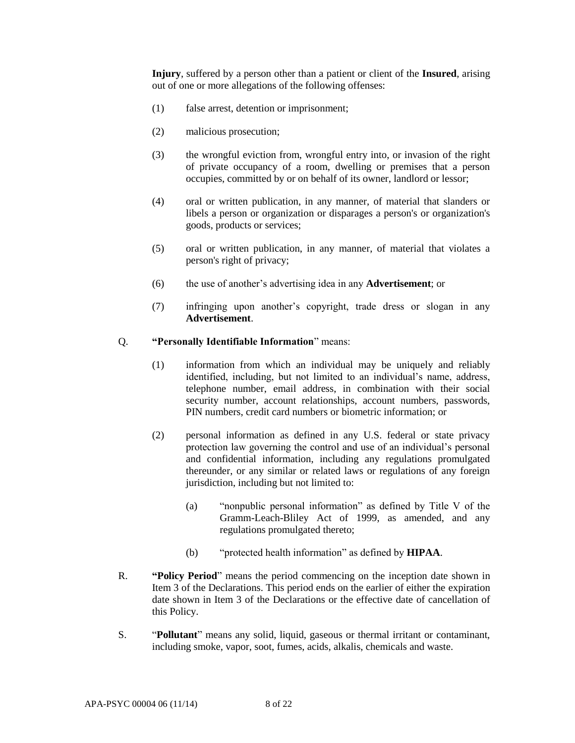**Injury**, suffered by a person other than a patient or client of the **Insured**, arising out of one or more allegations of the following offenses:

- (1) false arrest, detention or imprisonment;
- (2) malicious prosecution;
- (3) the wrongful eviction from, wrongful entry into, or invasion of the right of private occupancy of a room, dwelling or premises that a person occupies, committed by or on behalf of its owner, landlord or lessor;
- (4) oral or written publication, in any manner, of material that slanders or libels a person or organization or disparages a person's or organization's goods, products or services;
- (5) oral or written publication, in any manner, of material that violates a person's right of privacy;
- (6) the use of another's advertising idea in any **Advertisement**; or
- (7) infringing upon another's copyright, trade dress or slogan in any **Advertisement**.

#### Q. **"Personally Identifiable Information**" means:

- (1) information from which an individual may be uniquely and reliably identified, including, but not limited to an individual's name, address, telephone number, email address, in combination with their social security number, account relationships, account numbers, passwords, PIN numbers, credit card numbers or biometric information; or
- (2) personal information as defined in any U.S. federal or state privacy protection law governing the control and use of an individual's personal and confidential information, including any regulations promulgated thereunder, or any similar or related laws or regulations of any foreign jurisdiction, including but not limited to:
	- (a) "nonpublic personal information" as defined by Title V of the Gramm-Leach-Bliley Act of 1999, as amended, and any regulations promulgated thereto;
	- (b) "protected health information" as defined by **HIPAA**.
- R. **"Policy Period**" means the period commencing on the inception date shown in Item 3 of the Declarations. This period ends on the earlier of either the expiration date shown in Item 3 of the Declarations or the effective date of cancellation of this Policy.
- S. "**Pollutant**" means any solid, liquid, gaseous or thermal irritant or contaminant, including smoke, vapor, soot, fumes, acids, alkalis, chemicals and waste.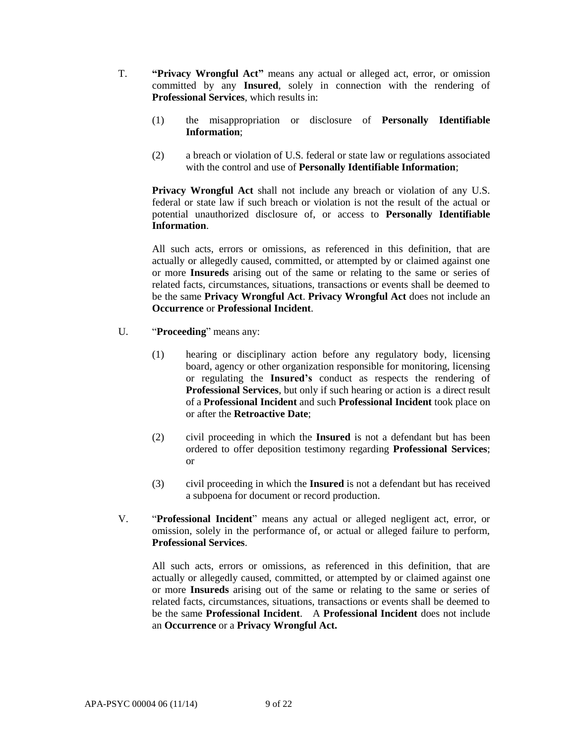- T. **"Privacy Wrongful Act"** means any actual or alleged act, error, or omission committed by any **Insured**, solely in connection with the rendering of **Professional Services**, which results in:
	- (1) the misappropriation or disclosure of **Personally Identifiable Information**;
	- (2) a breach or violation of U.S. federal or state law or regulations associated with the control and use of **Personally Identifiable Information**;

**Privacy Wrongful Act** shall not include any breach or violation of any U.S. federal or state law if such breach or violation is not the result of the actual or potential unauthorized disclosure of, or access to **Personally Identifiable Information**.

All such acts, errors or omissions, as referenced in this definition, that are actually or allegedly caused, committed, or attempted by or claimed against one or more **Insureds** arising out of the same or relating to the same or series of related facts, circumstances, situations, transactions or events shall be deemed to be the same **Privacy Wrongful Act**. **Privacy Wrongful Act** does not include an **Occurrence** or **Professional Incident**.

- U. "**Proceeding**" means any:
	- (1) hearing or disciplinary action before any regulatory body, licensing board, agency or other organization responsible for monitoring, licensing or regulating the **Insured's** conduct as respects the rendering of **Professional Services**, but only if such hearing or action is a direct result of a **Professional Incident** and such **Professional Incident** took place on or after the **Retroactive Date**;
	- (2) civil proceeding in which the **Insured** is not a defendant but has been ordered to offer deposition testimony regarding **Professional Services**; or
	- (3) civil proceeding in which the **Insured** is not a defendant but has received a subpoena for document or record production.
- V. "**Professional Incident**" means any actual or alleged negligent act, error, or omission, solely in the performance of, or actual or alleged failure to perform, **Professional Services**.

All such acts, errors or omissions, as referenced in this definition, that are actually or allegedly caused, committed, or attempted by or claimed against one or more **Insureds** arising out of the same or relating to the same or series of related facts, circumstances, situations, transactions or events shall be deemed to be the same **Professional Incident**. A **Professional Incident** does not include an **Occurrence** or a **Privacy Wrongful Act.**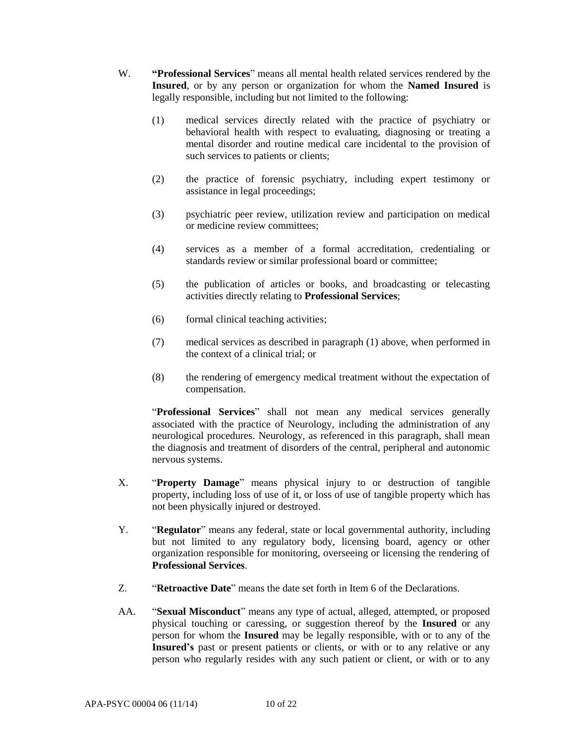- W. **"Professional Services**" means all mental health related services rendered by the **Insured**, or by any person or organization for whom the **Named Insured** is legally responsible, including but not limited to the following:
	- (1) medical services directly related with the practice of psychiatry or behavioral health with respect to evaluating, diagnosing or treating a mental disorder and routine medical care incidental to the provision of such services to patients or clients;
	- (2) the practice of forensic psychiatry, including expert testimony or assistance in legal proceedings;
	- (3) psychiatric peer review, utilization review and participation on medical or medicine review committees;
	- (4) services as a member of a formal accreditation, credentialing or standards review or similar professional board or committee;
	- (5) the publication of articles or books, and broadcasting or telecasting activities directly relating to **Professional Services**;
	- (6) formal clinical teaching activities;
	- (7) medical services as described in paragraph (1) above, when performed in the context of a clinical trial; or
	- (8) the rendering of emergency medical treatment without the expectation of compensation.

"**Professional Services**" shall not mean any medical services generally associated with the practice of Neurology, including the administration of any neurological procedures. Neurology, as referenced in this paragraph, shall mean the diagnosis and treatment of disorders of the central, peripheral and autonomic nervous systems.

- X. "**Property Damage**" means physical injury to or destruction of tangible property, including loss of use of it, or loss of use of tangible property which has not been physically injured or destroyed.
- Y. "**Regulator**" means any federal, state or local governmental authority, including but not limited to any regulatory body, licensing board, agency or other organization responsible for monitoring, overseeing or licensing the rendering of **Professional Services**.
- Z. "**Retroactive Date**" means the date set forth in Item 6 of the Declarations.
- AA. "**Sexual Misconduct**" means any type of actual, alleged, attempted, or proposed physical touching or caressing, or suggestion thereof by the **Insured** or any person for whom the **Insured** may be legally responsible, with or to any of the **Insured's** past or present patients or clients, or with or to any relative or any person who regularly resides with any such patient or client, or with or to any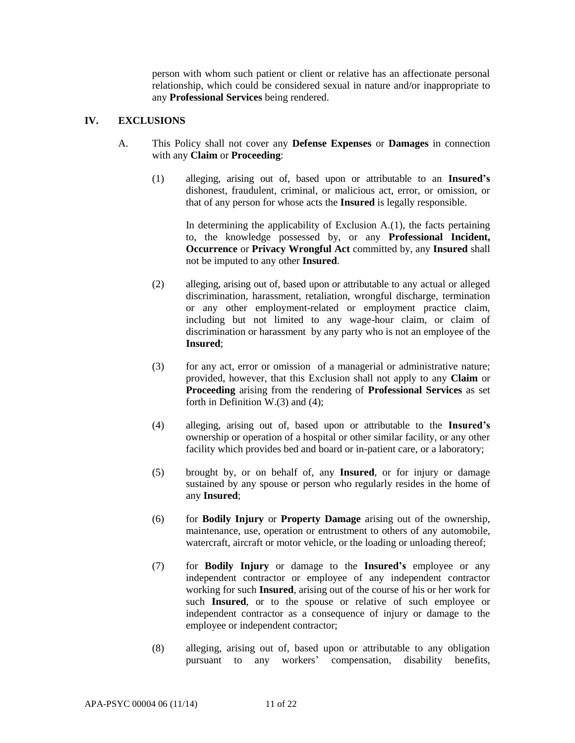person with whom such patient or client or relative has an affectionate personal relationship, which could be considered sexual in nature and/or inappropriate to any **Professional Services** being rendered.

## **IV. EXCLUSIONS**

- A. This Policy shall not cover any **Defense Expenses** or **Damages** in connection with any **Claim** or **Proceeding**:
	- (1) alleging, arising out of, based upon or attributable to an **Insured's** dishonest, fraudulent, criminal, or malicious act, error, or omission, or that of any person for whose acts the **Insured** is legally responsible.

In determining the applicability of Exclusion  $A(1)$ , the facts pertaining to, the knowledge possessed by, or any **Professional Incident, Occurrence** or **Privacy Wrongful Act** committed by, any **Insured** shall not be imputed to any other **Insured**.

- (2) alleging, arising out of, based upon or attributable to any actual or alleged discrimination, harassment, retaliation, wrongful discharge, termination or any other employment-related or employment practice claim, including but not limited to any wage-hour claim, or claim of discrimination or harassment by any party who is not an employee of the **Insured**;
- (3) for any act, error or omission of a managerial or administrative nature; provided, however, that this Exclusion shall not apply to any **Claim** or **Proceeding** arising from the rendering of **Professional Services** as set forth in Definition W.(3) and (4);
- (4) alleging, arising out of, based upon or attributable to the **Insured's** ownership or operation of a hospital or other similar facility, or any other facility which provides bed and board or in-patient care, or a laboratory;
- (5) brought by, or on behalf of, any **Insured**, or for injury or damage sustained by any spouse or person who regularly resides in the home of any **Insured**;
- (6) for **Bodily Injury** or **Property Damage** arising out of the ownership, maintenance, use, operation or entrustment to others of any automobile, watercraft, aircraft or motor vehicle, or the loading or unloading thereof;
- (7) for **Bodily Injury** or damage to the **Insured's** employee or any independent contractor or employee of any independent contractor working for such **Insured**, arising out of the course of his or her work for such **Insured**, or to the spouse or relative of such employee or independent contractor as a consequence of injury or damage to the employee or independent contractor;
- (8) alleging, arising out of, based upon or attributable to any obligation pursuant to any workers' compensation, disability benefits,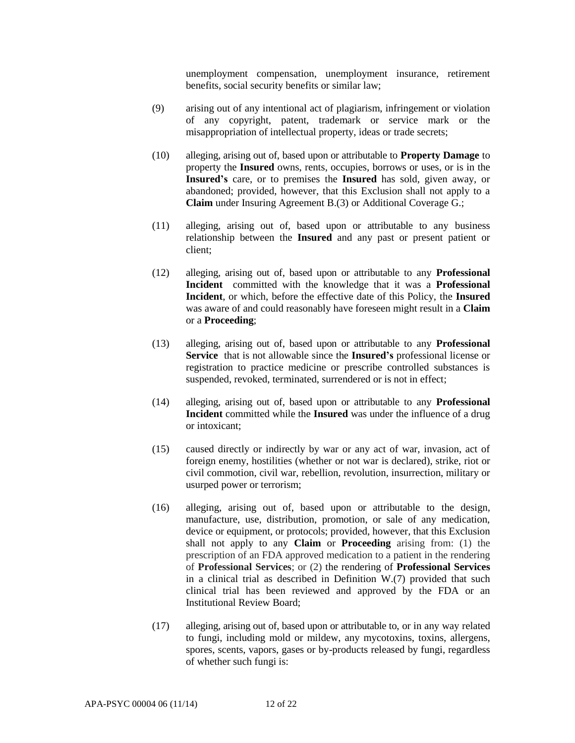unemployment compensation, unemployment insurance, retirement benefits, social security benefits or similar law;

- (9) arising out of any intentional act of plagiarism, infringement or violation of any copyright, patent, trademark or service mark or the misappropriation of intellectual property, ideas or trade secrets;
- (10) alleging, arising out of, based upon or attributable to **Property Damage** to property the **Insured** owns, rents, occupies, borrows or uses, or is in the **Insured's** care, or to premises the **Insured** has sold, given away, or abandoned; provided, however, that this Exclusion shall not apply to a **Claim** under Insuring Agreement B.(3) or Additional Coverage G.;
- (11) alleging, arising out of, based upon or attributable to any business relationship between the **Insured** and any past or present patient or client;
- (12) alleging, arising out of, based upon or attributable to any **Professional Incident** committed with the knowledge that it was a **Professional Incident**, or which, before the effective date of this Policy, the **Insured** was aware of and could reasonably have foreseen might result in a **Claim** or a **Proceeding**;
- (13) alleging, arising out of, based upon or attributable to any **Professional Service** that is not allowable since the **Insured's** professional license or registration to practice medicine or prescribe controlled substances is suspended, revoked, terminated, surrendered or is not in effect;
- (14) alleging, arising out of, based upon or attributable to any **Professional Incident** committed while the **Insured** was under the influence of a drug or intoxicant;
- (15) caused directly or indirectly by war or any act of war, invasion, act of foreign enemy, hostilities (whether or not war is declared), strike, riot or civil commotion, civil war, rebellion, revolution, insurrection, military or usurped power or terrorism;
- (16) alleging, arising out of, based upon or attributable to the design, manufacture, use, distribution, promotion, or sale of any medication, device or equipment, or protocols; provided, however, that this Exclusion shall not apply to any **Claim** or **Proceeding** arising from: (1) the prescription of an FDA approved medication to a patient in the rendering of **Professional Services**; or (2) the rendering of **Professional Services** in a clinical trial as described in Definition W.(7) provided that such clinical trial has been reviewed and approved by the FDA or an Institutional Review Board;
- (17) alleging, arising out of, based upon or attributable to, or in any way related to fungi, including mold or mildew, any mycotoxins, toxins, allergens, spores, scents, vapors, gases or by-products released by fungi, regardless of whether such fungi is: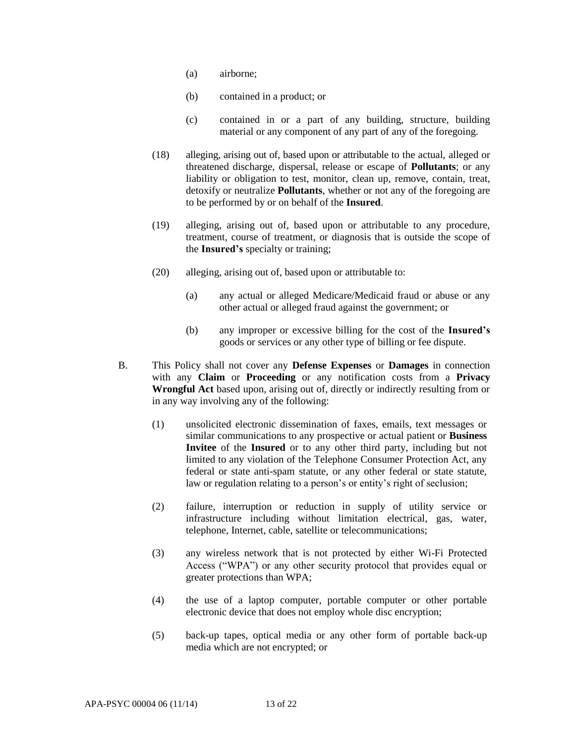- (a) airborne;
- (b) contained in a product; or
- (c) contained in or a part of any building, structure, building material or any component of any part of any of the foregoing.
- (18) alleging, arising out of, based upon or attributable to the actual, alleged or threatened discharge, dispersal, release or escape of **Pollutants**; or any liability or obligation to test, monitor, clean up, remove, contain, treat, detoxify or neutralize **Pollutants**, whether or not any of the foregoing are to be performed by or on behalf of the **Insured**.
- (19) alleging, arising out of, based upon or attributable to any procedure, treatment, course of treatment, or diagnosis that is outside the scope of the **Insured's** specialty or training;
- (20) alleging, arising out of, based upon or attributable to:
	- (a) any actual or alleged Medicare/Medicaid fraud or abuse or any other actual or alleged fraud against the government; or
	- (b) any improper or excessive billing for the cost of the **Insured's** goods or services or any other type of billing or fee dispute.
- B. This Policy shall not cover any **Defense Expenses** or **Damages** in connection with any **Claim** or **Proceeding** or any notification costs from a **Privacy Wrongful Act** based upon, arising out of, directly or indirectly resulting from or in any way involving any of the following:
	- (1) unsolicited electronic dissemination of faxes, emails, text messages or similar communications to any prospective or actual patient or **Business Invitee** of the **Insured** or to any other third party, including but not limited to any violation of the Telephone Consumer Protection Act, any federal or state anti-spam statute, or any other federal or state statute, law or regulation relating to a person's or entity's right of seclusion;
	- (2) failure, interruption or reduction in supply of utility service or infrastructure including without limitation electrical, gas, water, telephone, Internet, cable, satellite or telecommunications;
	- (3) any wireless network that is not protected by either Wi-Fi Protected Access ("WPA") or any other security protocol that provides equal or greater protections than WPA;
	- (4) the use of a laptop computer, portable computer or other portable electronic device that does not employ whole disc encryption;
	- (5) back-up tapes, optical media or any other form of portable back-up media which are not encrypted; or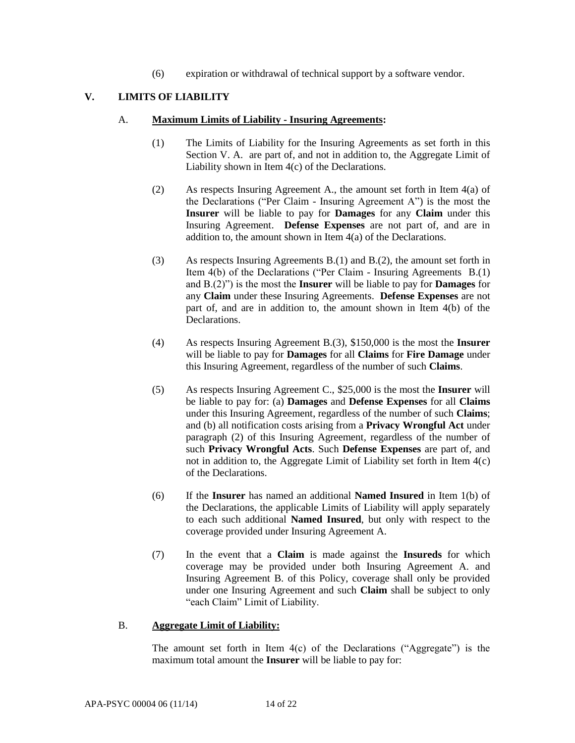(6) expiration or withdrawal of technical support by a software vendor.

## **V. LIMITS OF LIABILITY**

#### A. **Maximum Limits of Liability - Insuring Agreements:**

- (1) The Limits of Liability for the Insuring Agreements as set forth in this Section V. A. are part of, and not in addition to, the Aggregate Limit of Liability shown in Item 4(c) of the Declarations.
- (2) As respects Insuring Agreement A., the amount set forth in Item 4(a) of the Declarations ("Per Claim - Insuring Agreement A") is the most the **Insurer** will be liable to pay for **Damages** for any **Claim** under this Insuring Agreement. **Defense Expenses** are not part of, and are in addition to, the amount shown in Item 4(a) of the Declarations.
- (3) As respects Insuring Agreements B.(1) and B.(2), the amount set forth in Item 4(b) of the Declarations ("Per Claim - Insuring Agreements B.(1) and B.(2)") is the most the **Insurer** will be liable to pay for **Damages** for any **Claim** under these Insuring Agreements. **Defense Expenses** are not part of, and are in addition to, the amount shown in Item 4(b) of the **Declarations**
- (4) As respects Insuring Agreement B.(3), \$150,000 is the most the **Insurer**  will be liable to pay for **Damages** for all **Claims** for **Fire Damage** under this Insuring Agreement, regardless of the number of such **Claims**.
- (5) As respects Insuring Agreement C., \$25,000 is the most the **Insurer** will be liable to pay for: (a) **Damages** and **Defense Expenses** for all **Claims**  under this Insuring Agreement, regardless of the number of such **Claims**; and (b) all notification costs arising from a **Privacy Wrongful Act** under paragraph (2) of this Insuring Agreement, regardless of the number of such **Privacy Wrongful Acts**. Such **Defense Expenses** are part of, and not in addition to, the Aggregate Limit of Liability set forth in Item 4(c) of the Declarations.
- (6) If the **Insurer** has named an additional **Named Insured** in Item 1(b) of the Declarations, the applicable Limits of Liability will apply separately to each such additional **Named Insured**, but only with respect to the coverage provided under Insuring Agreement A.
- (7) In the event that a **Claim** is made against the **Insureds** for which coverage may be provided under both Insuring Agreement A. and Insuring Agreement B. of this Policy, coverage shall only be provided under one Insuring Agreement and such **Claim** shall be subject to only "each Claim" Limit of Liability.

#### B. **Aggregate Limit of Liability:**

The amount set forth in Item  $4(c)$  of the Declarations ("Aggregate") is the maximum total amount the **Insurer** will be liable to pay for: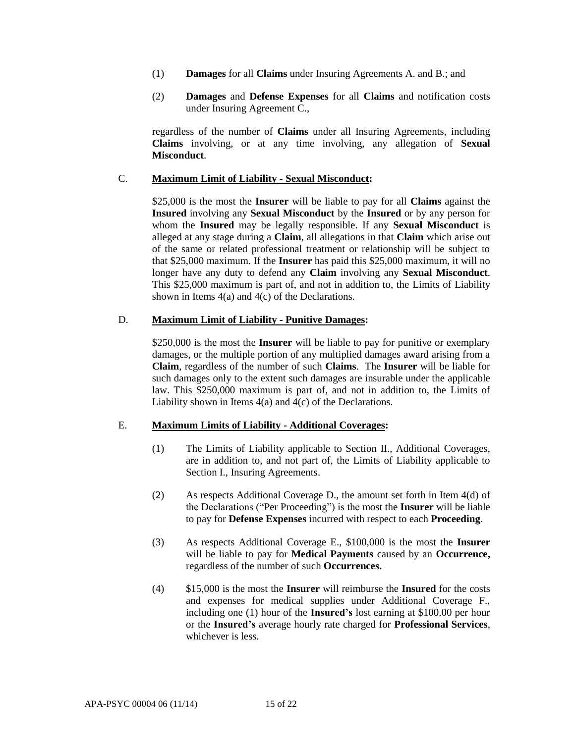- (1) **Damages** for all **Claims** under Insuring Agreements A. and B.; and
- (2) **Damages** and **Defense Expenses** for all **Claims** and notification costs under Insuring Agreement C.,

regardless of the number of **Claims** under all Insuring Agreements, including **Claims** involving, or at any time involving, any allegation of **Sexual Misconduct**.

## C. **Maximum Limit of Liability - Sexual Misconduct:**

\$25,000 is the most the **Insurer** will be liable to pay for all **Claims** against the **Insured** involving any **Sexual Misconduct** by the **Insured** or by any person for whom the **Insured** may be legally responsible. If any **Sexual Misconduct** is alleged at any stage during a **Claim**, all allegations in that **Claim** which arise out of the same or related professional treatment or relationship will be subject to that \$25,000 maximum. If the **Insurer** has paid this \$25,000 maximum, it will no longer have any duty to defend any **Claim** involving any **Sexual Misconduct**. This \$25,000 maximum is part of, and not in addition to, the Limits of Liability shown in Items 4(a) and 4(c) of the Declarations.

## D. **Maximum Limit of Liability - Punitive Damages:**

\$250,000 is the most the **Insurer** will be liable to pay for punitive or exemplary damages, or the multiple portion of any multiplied damages award arising from a **Claim**, regardless of the number of such **Claims**. The **Insurer** will be liable for such damages only to the extent such damages are insurable under the applicable law. This \$250,000 maximum is part of, and not in addition to, the Limits of Liability shown in Items 4(a) and 4(c) of the Declarations.

## E. **Maximum Limits of Liability - Additional Coverages:**

- (1) The Limits of Liability applicable to Section II., Additional Coverages, are in addition to, and not part of, the Limits of Liability applicable to Section I., Insuring Agreements.
- (2) As respects Additional Coverage D., the amount set forth in Item 4(d) of the Declarations ("Per Proceeding") is the most the **Insurer** will be liable to pay for **Defense Expenses** incurred with respect to each **Proceeding**.
- (3) As respects Additional Coverage E., \$100,000 is the most the **Insurer**  will be liable to pay for **Medical Payments** caused by an **Occurrence,**  regardless of the number of such **Occurrences.**
- (4) \$15,000 is the most the **Insurer** will reimburse the **Insured** for the costs and expenses for medical supplies under Additional Coverage F., including one (1) hour of the **Insured's** lost earning at \$100.00 per hour or the **Insured's** average hourly rate charged for **Professional Services**, whichever is less.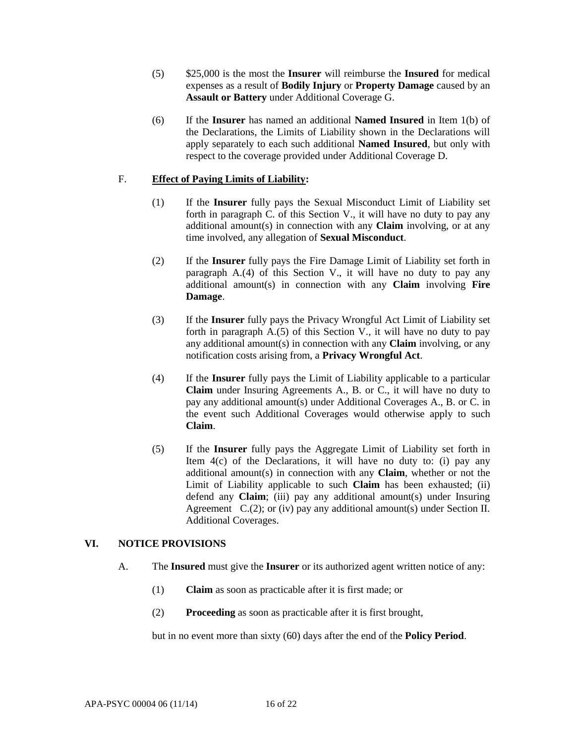- (5) \$25,000 is the most the **Insurer** will reimburse the **Insured** for medical expenses as a result of **Bodily Injury** or **Property Damage** caused by an **Assault or Battery** under Additional Coverage G.
- (6) If the **Insurer** has named an additional **Named Insured** in Item 1(b) of the Declarations, the Limits of Liability shown in the Declarations will apply separately to each such additional **Named Insured**, but only with respect to the coverage provided under Additional Coverage D.

## F. **Effect of Paying Limits of Liability:**

- (1) If the **Insurer** fully pays the Sexual Misconduct Limit of Liability set forth in paragraph C. of this Section V., it will have no duty to pay any additional amount(s) in connection with any **Claim** involving, or at any time involved, any allegation of **Sexual Misconduct**.
- (2) If the **Insurer** fully pays the Fire Damage Limit of Liability set forth in paragraph A.(4) of this Section V., it will have no duty to pay any additional amount(s) in connection with any **Claim** involving **Fire Damage**.
- (3) If the **Insurer** fully pays the Privacy Wrongful Act Limit of Liability set forth in paragraph  $A(5)$  of this Section V, it will have no duty to pay any additional amount(s) in connection with any **Claim** involving, or any notification costs arising from, a **Privacy Wrongful Act**.
- (4) If the **Insurer** fully pays the Limit of Liability applicable to a particular **Claim** under Insuring Agreements A., B. or C., it will have no duty to pay any additional amount(s) under Additional Coverages A., B. or C. in the event such Additional Coverages would otherwise apply to such **Claim**.
- (5) If the **Insurer** fully pays the Aggregate Limit of Liability set forth in Item  $4(c)$  of the Declarations, it will have no duty to: (i) pay any additional amount(s) in connection with any **Claim**, whether or not the Limit of Liability applicable to such **Claim** has been exhausted; (ii) defend any **Claim**; (iii) pay any additional amount(s) under Insuring Agreement  $C.(2)$ ; or (iv) pay any additional amount(s) under Section II. Additional Coverages.

## **VI. NOTICE PROVISIONS**

- A. The **Insured** must give the **Insurer** or its authorized agent written notice of any:
	- (1) **Claim** as soon as practicable after it is first made; or
	- (2) **Proceeding** as soon as practicable after it is first brought,

but in no event more than sixty (60) days after the end of the **Policy Period**.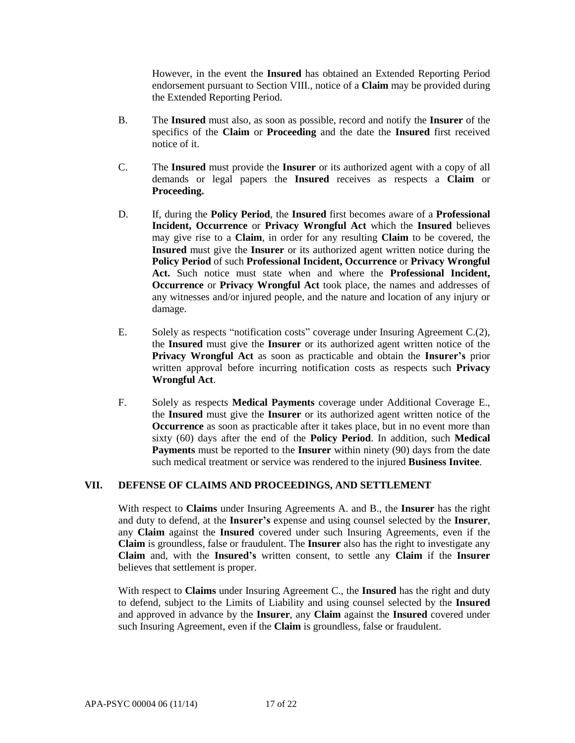However, in the event the **Insured** has obtained an Extended Reporting Period endorsement pursuant to Section VIII., notice of a **Claim** may be provided during the Extended Reporting Period.

- B. The **Insured** must also, as soon as possible, record and notify the **Insurer** of the specifics of the **Claim** or **Proceeding** and the date the **Insured** first received notice of it.
- C. The **Insured** must provide the **Insurer** or its authorized agent with a copy of all demands or legal papers the **Insured** receives as respects a **Claim** or **Proceeding.**
- D. If, during the **Policy Period**, the **Insured** first becomes aware of a **Professional Incident, Occurrence** or **Privacy Wrongful Act** which the **Insured** believes may give rise to a **Claim**, in order for any resulting **Claim** to be covered, the **Insured** must give the **Insurer** or its authorized agent written notice during the **Policy Period** of such **Professional Incident, Occurrence** or **Privacy Wrongful Act.** Such notice must state when and where the **Professional Incident, Occurrence** or **Privacy Wrongful Act** took place, the names and addresses of any witnesses and/or injured people, and the nature and location of any injury or damage.
- E. Solely as respects "notification costs" coverage under Insuring Agreement C.(2), the **Insured** must give the **Insurer** or its authorized agent written notice of the **Privacy Wrongful Act** as soon as practicable and obtain the **Insurer's** prior written approval before incurring notification costs as respects such **Privacy Wrongful Act**.
- F. Solely as respects **Medical Payments** coverage under Additional Coverage E., the **Insured** must give the **Insurer** or its authorized agent written notice of the **Occurrence** as soon as practicable after it takes place, but in no event more than sixty (60) days after the end of the **Policy Period**. In addition, such **Medical Payments** must be reported to the **Insurer** within ninety (90) days from the date such medical treatment or service was rendered to the injured **Business Invitee**.

## **VII. DEFENSE OF CLAIMS AND PROCEEDINGS, AND SETTLEMENT**

With respect to **Claims** under Insuring Agreements A. and B., the **Insurer** has the right and duty to defend, at the **Insurer's** expense and using counsel selected by the **Insurer**, any **Claim** against the **Insured** covered under such Insuring Agreements, even if the **Claim** is groundless, false or fraudulent. The **Insurer** also has the right to investigate any **Claim** and, with the **Insured's** written consent, to settle any **Claim** if the **Insurer**  believes that settlement is proper.

With respect to **Claims** under Insuring Agreement C., the **Insured** has the right and duty to defend, subject to the Limits of Liability and using counsel selected by the **Insured** and approved in advance by the **Insurer**, any **Claim** against the **Insured** covered under such Insuring Agreement, even if the **Claim** is groundless, false or fraudulent.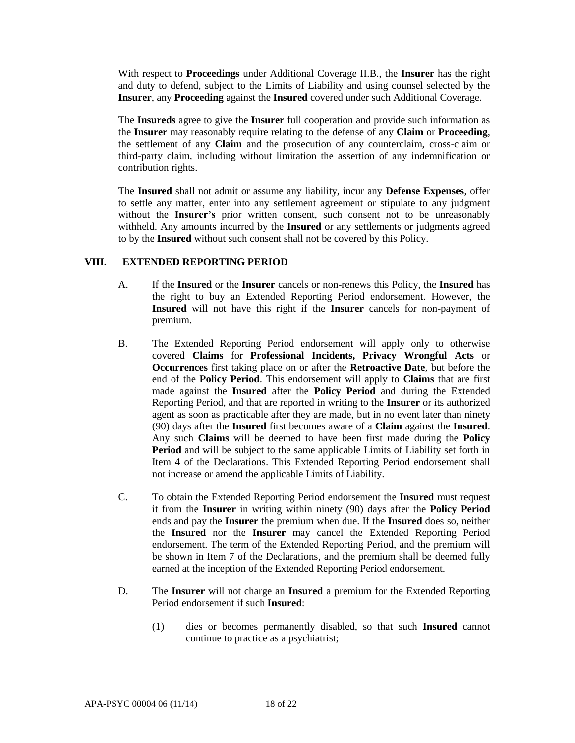With respect to **Proceedings** under Additional Coverage II.B., the **Insurer** has the right and duty to defend, subject to the Limits of Liability and using counsel selected by the **Insurer**, any **Proceeding** against the **Insured** covered under such Additional Coverage.

The **Insureds** agree to give the **Insurer** full cooperation and provide such information as the **Insurer** may reasonably require relating to the defense of any **Claim** or **Proceeding**, the settlement of any **Claim** and the prosecution of any counterclaim, cross-claim or third-party claim, including without limitation the assertion of any indemnification or contribution rights.

The **Insured** shall not admit or assume any liability, incur any **Defense Expenses**, offer to settle any matter, enter into any settlement agreement or stipulate to any judgment without the **Insurer's** prior written consent, such consent not to be unreasonably withheld. Any amounts incurred by the **Insured** or any settlements or judgments agreed to by the **Insured** without such consent shall not be covered by this Policy.

#### **VIII. EXTENDED REPORTING PERIOD**

- A. If the **Insured** or the **Insurer** cancels or non-renews this Policy, the **Insured** has the right to buy an Extended Reporting Period endorsement. However, the **Insured** will not have this right if the **Insurer** cancels for non-payment of premium.
- B. The Extended Reporting Period endorsement will apply only to otherwise covered **Claims** for **Professional Incidents, Privacy Wrongful Acts** or **Occurrences** first taking place on or after the **Retroactive Date**, but before the end of the **Policy Period**. This endorsement will apply to **Claims** that are first made against the **Insured** after the **Policy Period** and during the Extended Reporting Period, and that are reported in writing to the **Insurer** or its authorized agent as soon as practicable after they are made, but in no event later than ninety (90) days after the **Insured** first becomes aware of a **Claim** against the **Insured**. Any such **Claims** will be deemed to have been first made during the **Policy Period** and will be subject to the same applicable Limits of Liability set forth in Item 4 of the Declarations. This Extended Reporting Period endorsement shall not increase or amend the applicable Limits of Liability.
- C. To obtain the Extended Reporting Period endorsement the **Insured** must request it from the **Insurer** in writing within ninety (90) days after the **Policy Period** ends and pay the **Insurer** the premium when due. If the **Insured** does so, neither the **Insured** nor the **Insurer** may cancel the Extended Reporting Period endorsement. The term of the Extended Reporting Period, and the premium will be shown in Item 7 of the Declarations, and the premium shall be deemed fully earned at the inception of the Extended Reporting Period endorsement.
- D. The **Insurer** will not charge an **Insured** a premium for the Extended Reporting Period endorsement if such **Insured**:
	- (1) dies or becomes permanently disabled, so that such **Insured** cannot continue to practice as a psychiatrist;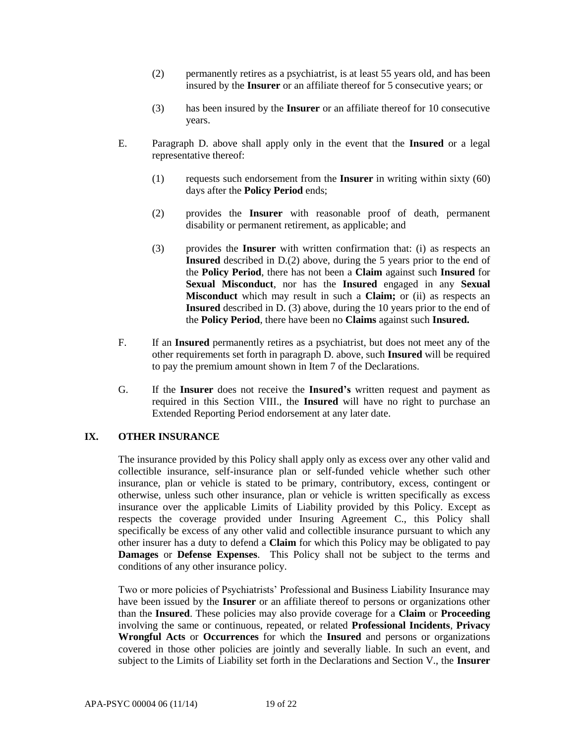- (2) permanently retires as a psychiatrist, is at least 55 years old, and has been insured by the **Insurer** or an affiliate thereof for 5 consecutive years; or
- (3) has been insured by the **Insurer** or an affiliate thereof for 10 consecutive years.
- E. Paragraph D. above shall apply only in the event that the **Insured** or a legal representative thereof:
	- (1) requests such endorsement from the **Insurer** in writing within sixty (60) days after the **Policy Period** ends;
	- (2) provides the **Insurer** with reasonable proof of death, permanent disability or permanent retirement, as applicable; and
	- (3) provides the **Insurer** with written confirmation that: (i) as respects an **Insured** described in D.(2) above, during the 5 years prior to the end of the **Policy Period**, there has not been a **Claim** against such **Insured** for **Sexual Misconduct**, nor has the **Insured** engaged in any **Sexual Misconduct** which may result in such a **Claim;** or (ii) as respects an **Insured** described in D. (3) above, during the 10 years prior to the end of the **Policy Period**, there have been no **Claims** against such **Insured.**
- F. If an **Insured** permanently retires as a psychiatrist, but does not meet any of the other requirements set forth in paragraph D. above, such **Insured** will be required to pay the premium amount shown in Item 7 of the Declarations.
- G. If the **Insurer** does not receive the **Insured's** written request and payment as required in this Section VIII., the **Insured** will have no right to purchase an Extended Reporting Period endorsement at any later date.

## **IX. OTHER INSURANCE**

The insurance provided by this Policy shall apply only as excess over any other valid and collectible insurance, self-insurance plan or self-funded vehicle whether such other insurance, plan or vehicle is stated to be primary, contributory, excess, contingent or otherwise, unless such other insurance, plan or vehicle is written specifically as excess insurance over the applicable Limits of Liability provided by this Policy. Except as respects the coverage provided under Insuring Agreement C., this Policy shall specifically be excess of any other valid and collectible insurance pursuant to which any other insurer has a duty to defend a **Claim** for which this Policy may be obligated to pay **Damages** or **Defense Expenses**. This Policy shall not be subject to the terms and conditions of any other insurance policy.

Two or more policies of Psychiatrists' Professional and Business Liability Insurance may have been issued by the **Insurer** or an affiliate thereof to persons or organizations other than the **Insured**. These policies may also provide coverage for a **Claim** or **Proceeding** involving the same or continuous, repeated, or related **Professional Incidents**, **Privacy Wrongful Acts** or **Occurrences** for which the **Insured** and persons or organizations covered in those other policies are jointly and severally liable. In such an event, and subject to the Limits of Liability set forth in the Declarations and Section V., the **Insurer**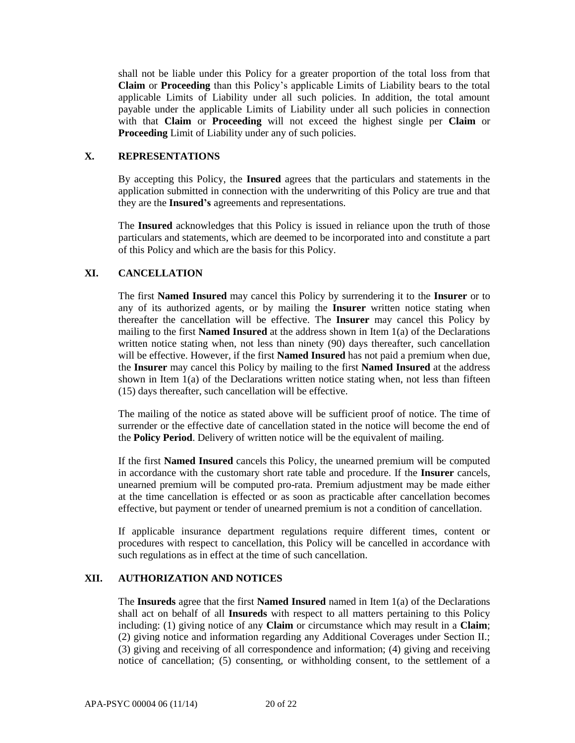shall not be liable under this Policy for a greater proportion of the total loss from that **Claim** or **Proceeding** than this Policy's applicable Limits of Liability bears to the total applicable Limits of Liability under all such policies. In addition, the total amount payable under the applicable Limits of Liability under all such policies in connection with that **Claim** or **Proceeding** will not exceed the highest single per **Claim** or **Proceeding** Limit of Liability under any of such policies.

#### **X. REPRESENTATIONS**

By accepting this Policy, the **Insured** agrees that the particulars and statements in the application submitted in connection with the underwriting of this Policy are true and that they are the **Insured's** agreements and representations.

The **Insured** acknowledges that this Policy is issued in reliance upon the truth of those particulars and statements, which are deemed to be incorporated into and constitute a part of this Policy and which are the basis for this Policy.

## **XI. CANCELLATION**

The first **Named Insured** may cancel this Policy by surrendering it to the **Insurer** or to any of its authorized agents, or by mailing the **Insurer** written notice stating when thereafter the cancellation will be effective. The **Insurer** may cancel this Policy by mailing to the first **Named Insured** at the address shown in Item 1(a) of the Declarations written notice stating when, not less than ninety (90) days thereafter, such cancellation will be effective. However, if the first **Named Insured** has not paid a premium when due, the **Insurer** may cancel this Policy by mailing to the first **Named Insured** at the address shown in Item  $1(a)$  of the Declarations written notice stating when, not less than fifteen (15) days thereafter, such cancellation will be effective.

The mailing of the notice as stated above will be sufficient proof of notice. The time of surrender or the effective date of cancellation stated in the notice will become the end of the **Policy Period**. Delivery of written notice will be the equivalent of mailing.

If the first **Named Insured** cancels this Policy, the unearned premium will be computed in accordance with the customary short rate table and procedure. If the **Insurer** cancels, unearned premium will be computed pro-rata. Premium adjustment may be made either at the time cancellation is effected or as soon as practicable after cancellation becomes effective, but payment or tender of unearned premium is not a condition of cancellation.

If applicable insurance department regulations require different times, content or procedures with respect to cancellation, this Policy will be cancelled in accordance with such regulations as in effect at the time of such cancellation.

## **XII. AUTHORIZATION AND NOTICES**

The **Insureds** agree that the first **Named Insured** named in Item 1(a) of the Declarations shall act on behalf of all **Insureds** with respect to all matters pertaining to this Policy including: (1) giving notice of any **Claim** or circumstance which may result in a **Claim**; (2) giving notice and information regarding any Additional Coverages under Section II.; (3) giving and receiving of all correspondence and information; (4) giving and receiving notice of cancellation; (5) consenting, or withholding consent, to the settlement of a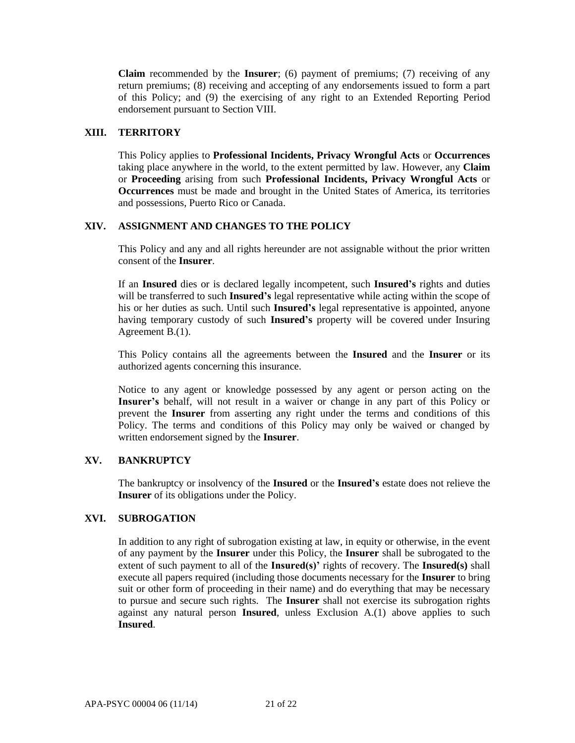**Claim** recommended by the **Insurer**; (6) payment of premiums; (7) receiving of any return premiums; (8) receiving and accepting of any endorsements issued to form a part of this Policy; and (9) the exercising of any right to an Extended Reporting Period endorsement pursuant to Section VIII.

## **XIII. TERRITORY**

This Policy applies to **Professional Incidents, Privacy Wrongful Acts** or **Occurrences** taking place anywhere in the world, to the extent permitted by law. However, any **Claim**  or **Proceeding** arising from such **Professional Incidents, Privacy Wrongful Acts** or **Occurrences** must be made and brought in the United States of America, its territories and possessions, Puerto Rico or Canada.

## **XIV. ASSIGNMENT AND CHANGES TO THE POLICY**

This Policy and any and all rights hereunder are not assignable without the prior written consent of the **Insurer**.

If an **Insured** dies or is declared legally incompetent, such **Insured's** rights and duties will be transferred to such **Insured's** legal representative while acting within the scope of his or her duties as such. Until such **Insured's** legal representative is appointed, anyone having temporary custody of such **Insured's** property will be covered under Insuring Agreement B.(1).

This Policy contains all the agreements between the **Insured** and the **Insurer** or its authorized agents concerning this insurance.

Notice to any agent or knowledge possessed by any agent or person acting on the **Insurer's** behalf, will not result in a waiver or change in any part of this Policy or prevent the **Insurer** from asserting any right under the terms and conditions of this Policy. The terms and conditions of this Policy may only be waived or changed by written endorsement signed by the **Insurer**.

## **XV. BANKRUPTCY**

The bankruptcy or insolvency of the **Insured** or the **Insured's** estate does not relieve the **Insurer** of its obligations under the Policy.

# **XVI. SUBROGATION**

In addition to any right of subrogation existing at law, in equity or otherwise, in the event of any payment by the **Insurer** under this Policy, the **Insurer** shall be subrogated to the extent of such payment to all of the **Insured(s)'** rights of recovery. The **Insured(s)** shall execute all papers required (including those documents necessary for the **Insurer** to bring suit or other form of proceeding in their name) and do everything that may be necessary to pursue and secure such rights. The **Insurer** shall not exercise its subrogation rights against any natural person **Insured**, unless Exclusion A.(1) above applies to such **Insured**.